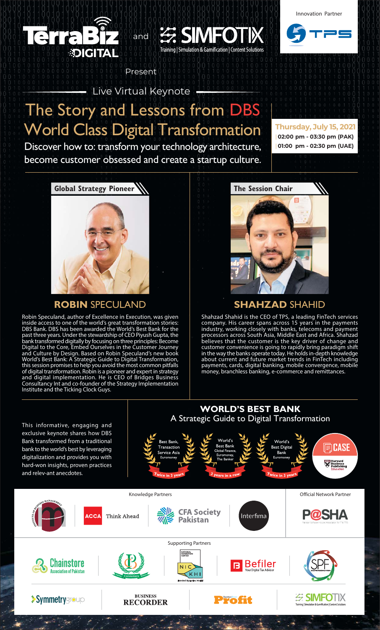

**Innovation Partner** 



Live Virtual Keynote -

# The Story and Lessons from DBS **World Class Digital Transformation**

and

Present

**EE SIMFOT** 

Training | Simulation & Gamification | Content Solutions

Discover how to: transform your technology architecture, become customer obsessed and create a startup culture.

Thursday, July 15, 2021 02:00 pm - 03:30 pm (PAK) 01:00 pm - 02:30 pm (UAE)



### **ROBIN SPECULAND**

Robin Speculand, author of Excellence in Execution, was given Robin Speculand, author of Excellence in Execution, was given<br>inside access to one of the world's great transformation stories:<br>DBS Bank. DBS has been awarded the World's Best Bank for the<br>past three years. Under the stewa World's best bank. A Strategic Guide to Digital Hansformation,<br>this session promises to help you avoid the most common pitfalls<br>of digital transformation. Robin is a pioneer and expert in strategy<br>and digital implementatio Institute and the Ticking Clock Guys.



### **SHAHZAD SHAHID**

Shahzad Shahid is the CEO of TPS, a leading FinTech services<br>company. His career spans across 15 years in the payments<br>industry, working closely with banks, telecoms and payment<br>processors across South Asia, Middle East an payments, cards, digital banking, mobile convergence, mobile money, branchless banking, e-commerce and remittances.